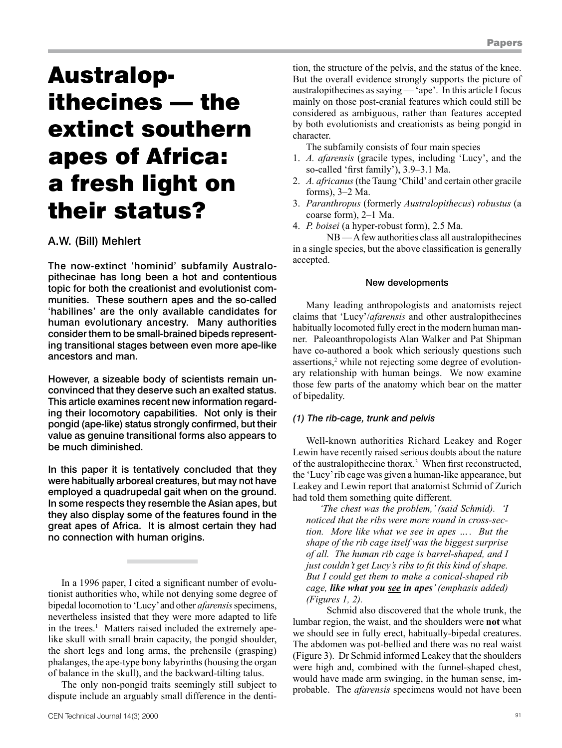# Australopithecines — the extinct southern apes of Africa: a fresh light on their status?

# A.W. (Bill) Mehlert

The now-extinct 'hominid' subfamily Australopithecinae has long been a hot and contentious topic for both the creationist and evolutionist communities. These southern apes and the so-called 'habilines' are the only available candidates for human evolutionary ancestry. Many authorities consider them to be small-brained bipeds representing transitional stages between even more ape-like ancestors and man.

However, a sizeable body of scientists remain unconvinced that they deserve such an exalted status. This article examines recent new information regarding their locomotory capabilities. Not only is their pongid (ape-like) status strongly confirmed, but their value as genuine transitional forms also appears to be much diminished.

In this paper it is tentatively concluded that they were habitually arboreal creatures, but may not have employed a quadrupedal gait when on the ground. In some respects they resemble the Asian apes, but they also display some of the features found in the great apes of Africa. It is almost certain they had no connection with human origins.

In a 1996 paper, I cited a significant number of evolutionist authorities who, while not denying some degree of bipedal locomotion to 'Lucy' and other *afarensis* specimens, nevertheless insisted that they were more adapted to life in the trees.<sup>1</sup> Matters raised included the extremely apelike skull with small brain capacity, the pongid shoulder, the short legs and long arms, the prehensile (grasping) phalanges, the ape-type bony labyrinths (housing the organ of balance in the skull), and the backward-tilting talus.

The only non-pongid traits seemingly still subject to dispute include an arguably small difference in the dentition, the structure of the pelvis, and the status of the knee. But the overall evidence strongly supports the picture of australopithecines as saying — 'ape'. In this article I focus mainly on those post-cranial features which could still be considered as ambiguous, rather than features accepted by both evolutionists and creationists as being pongid in character.

The subfamily consists of four main species

- 1. *A. afarensis* (gracile types, including 'Lucy', and the so-called 'first family'), 3.9–3.1 Ma.
- 2. *A. africanus* (the Taung 'Child' and certain other gracile forms), 3–2 Ma.
- 3. *Paranthropus* (formerly *Australopithecus*) *robustus* (a coarse form), 2–1 Ma.
- 4. *P. boisei* (a hyper-robust form), 2.5 Ma.

NB — A few authorities class all australopithecines in a single species, but the above classification is generally accepted.

#### New developments

Many leading anthropologists and anatomists reject claims that 'Lucy'/*afarensis* and other australopithecines habitually locomoted fully erect in the modern human manner. Paleoanthropologists Alan Walker and Pat Shipman have co-authored a book which seriously questions such assertions,<sup>2</sup> while not rejecting some degree of evolutionary relationship with human beings. We now examine those few parts of the anatomy which bear on the matter of bipedality.

## *(1) The rib-cage, trunk and pelvis*

Well-known authorities Richard Leakey and Roger Lewin have recently raised serious doubts about the nature of the australopithecine thorax.3 When first reconstructed, the 'Lucy' rib cage was given a human-like appearance, but Leakey and Lewin report that anatomist Schmid of Zurich had told them something quite different.

*'The chest was the problem,' (said Schmid). 'I noticed that the ribs were more round in cross-section. More like what we see in apes …. But the shape of the rib cage itself was the biggest surprise of all. The human rib cage is barrel-shaped, and I just couldn't get Lucy's ribs to fit this kind of shape. But I could get them to make a conical-shaped rib cage, like what you see in apes' (emphasis added) (Figures 1, 2).*

Schmid also discovered that the whole trunk, the lumbar region, the waist, and the shoulders were **not** what we should see in fully erect, habitually-bipedal creatures. The abdomen was pot-bellied and there was no real waist (Figure 3). Dr Schmid informed Leakey that the shoulders were high and, combined with the funnel-shaped chest, would have made arm swinging, in the human sense, improbable. The *afarensis* specimens would not have been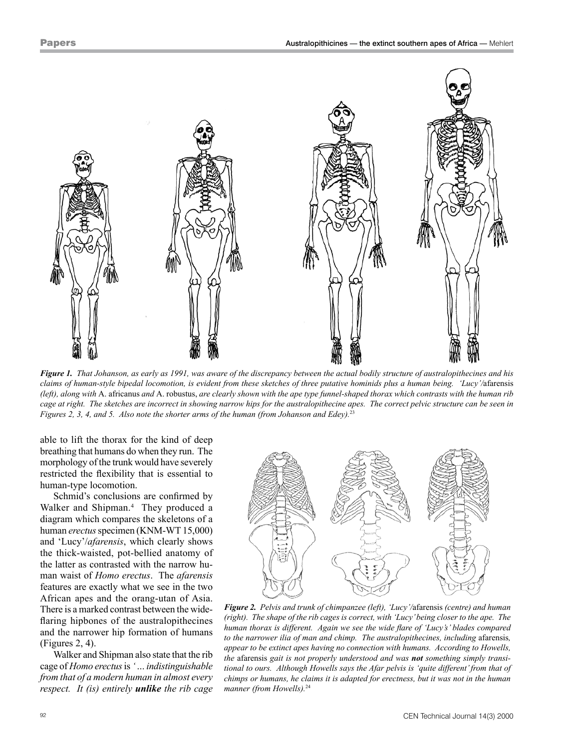

Figure 1. That Johanson, as early as 1991, was aware of the discrepancy between the actual bodily structure of australopithecines and his claims of human-style bipedal locomotion, is evident from these sketches of three putative hominids plus a human being. 'Lucy'/afarensis (left), along with A. africanus and A. robustus, are clearly shown with the ape type funnel-shaped thorax which contrasts with the human rib cage at right. The sketches are incorrect in showing narrow hips for the australopithecine apes. The correct pelvic structure can be seen in *Figures 2, 3, 4, and 5. Also note the shorter arms of the human (from Johanson and Edey).*<sup>23</sup>

able to lift the thorax for the kind of deep breathing that humans do when they run. The morphology of the trunk would have severely restricted the flexibility that is essential to human-type locomotion.

Schmid's conclusions are confirmed by Walker and Shipman.<sup>4</sup> They produced a diagram which compares the skeletons of a human *erectus* specimen (KNM-WT 15,000) and 'Lucy'/*afarensis*, which clearly shows the thick-waisted, pot-bellied anatomy of the latter as contrasted with the narrow human waist of *Homo erectus*. The *afarensis* features are exactly what we see in the two African apes and the orang-utan of Asia. There is a marked contrast between the wideflaring hipbones of the australopithecines and the narrower hip formation of humans (Figures 2, 4).

Walker and Shipman also state that the rib cage of *Homo erectus* is *'…indistinguishable from that of a modern human in almost every respect. It (is) entirely unlike the rib cage*



*Figure 2. Pelvis and trunk of chimpanzee (left), 'Lucy'/*afarensis *(centre) and human (right). The shape of the rib cages is correct, with 'Lucy'being closer to the ape. The human thorax is different. Again we see the wide flare of 'Lucy's' blades compared to the narrower ilia of man and chimp. The australopithecines, including* afarensis*, appear to be extinct apes having no connection with humans. According to Howells, the* afarensis *gait is not properly understood and was not something simply transitional to ours. Although Howells says the Afar pelvis is 'quite different'from that of chimps or humans, he claims it is adapted for erectness, but it was not in the human manner (from Howells).*<sup>24</sup>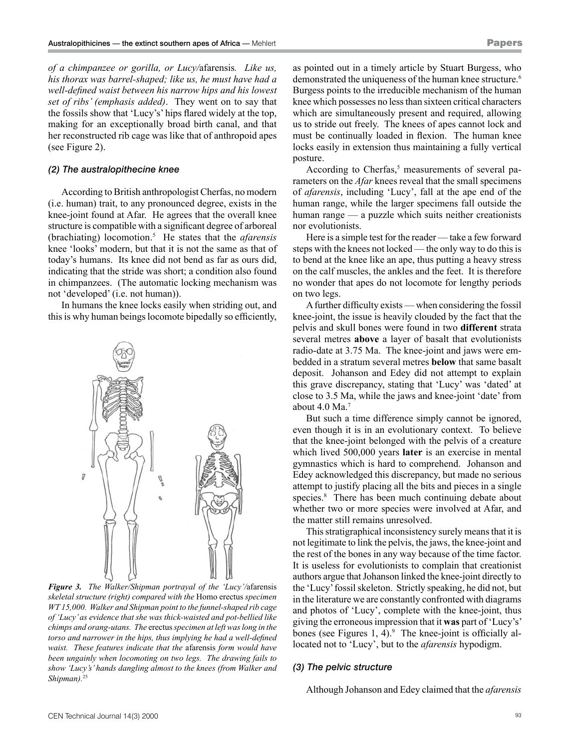*of a chimpanzee or gorilla, or Lucy/*afarensis*. Like us, his thorax was barrel-shaped; like us, he must have had a well-defined waist between his narrow hips and his lowest set of ribs' (emphasis added)*. They went on to say that the fossils show that 'Lucy's' hips flared widely at the top, making for an exceptionally broad birth canal, and that her reconstructed rib cage was like that of anthropoid apes (see Figure 2).

### *(2) The australopithecine knee*

According to British anthropologist Cherfas, no modern (i.e. human) trait, to any pronounced degree, exists in the knee-joint found at Afar. He agrees that the overall knee structure is compatible with a significant degree of arboreal (brachiating) locomotion.5 He states that the *afarensis* knee 'looks' modern, but that it is not the same as that of today's humans. Its knee did not bend as far as ours did, indicating that the stride was short; a condition also found in chimpanzees. (The automatic locking mechanism was not 'developed' (i.e. not human)).

In humans the knee locks easily when striding out, and this is why human beings locomote bipedally so efficiently,



*Figure 3. The Walker/Shipman portrayal of the 'Lucy'/*afarensis *skeletal structure (right) compared with the* Homo erectus *specimen WT 15,000. Walker and Shipman point to the funnel-shaped rib cage of 'Lucy'as evidence that she was thick-waisted and pot-bellied like chimps and orang-utans. The* erectus*specimen at left waslong in the torso and narrower in the hips, thus implying he had a well‑defined waist. These features indicate that the* afarensis *form would have been ungainly when locomoting on two legs. The drawing fails to show 'Lucy's' hands dangling almost to the knees (from Walker and Shipman).*<sup>25</sup>

as pointed out in a timely article by Stuart Burgess, who demonstrated the uniqueness of the human knee structure.<sup>6</sup> Burgess points to the irreducible mechanism of the human knee which possesses no less than sixteen critical characters which are simultaneously present and required, allowing us to stride out freely. The knees of apes cannot lock and must be continually loaded in flexion. The human knee locks easily in extension thus maintaining a fully vertical posture.

According to Cherfas,<sup>5</sup> measurements of several parameters on the *Afar* knees reveal that the small specimens of *afarensis*, including 'Lucy', fall at the ape end of the human range, while the larger specimens fall outside the human range — a puzzle which suits neither creationists nor evolutionists.

Here is a simple test for the reader — take a few forward steps with the knees not locked — the only way to do this is to bend at the knee like an ape, thus putting a heavy stress on the calf muscles, the ankles and the feet. It is therefore no wonder that apes do not locomote for lengthy periods on two legs.

A further difficulty exists — when considering the fossil knee-joint, the issue is heavily clouded by the fact that the pelvis and skull bones were found in two **different** strata several metres **above** a layer of basalt that evolutionists radio-date at 3.75 Ma. The knee-joint and jaws were embedded in a stratum several metres **below** that same basalt deposit. Johanson and Edey did not attempt to explain this grave discrepancy, stating that 'Lucy' was 'dated' at close to 3.5 Ma, while the jaws and knee-joint 'date' from about 4.0 Ma.7

But such a time difference simply cannot be ignored, even though it is in an evolutionary context. To believe that the knee-joint belonged with the pelvis of a creature which lived 500,000 years **later** is an exercise in mental gymnastics which is hard to comprehend. Johanson and Edey acknowledged this discrepancy, but made no serious attempt to justify placing all the bits and pieces in a single species.<sup>8</sup> There has been much continuing debate about whether two or more species were involved at Afar, and the matter still remains unresolved.

This stratigraphical inconsistency surely means that it is not legitimate to link the pelvis, the jaws, the knee-joint and the rest of the bones in any way because of the time factor. It is useless for evolutionists to complain that creationist authors argue that Johanson linked the knee-joint directly to the 'Lucy' fossil skeleton. Strictly speaking, he did not, but in the literature we are constantly confronted with diagrams and photos of 'Lucy', complete with the knee-joint, thus giving the erroneous impression that it **was** part of 'Lucy's' bones (see Figures 1, 4). $9$  The knee-joint is officially allocated not to 'Lucy', but to the *afarensis* hypodigm.

#### *(3) The pelvic structure*

Although Johanson and Edey claimed that the *afarensis*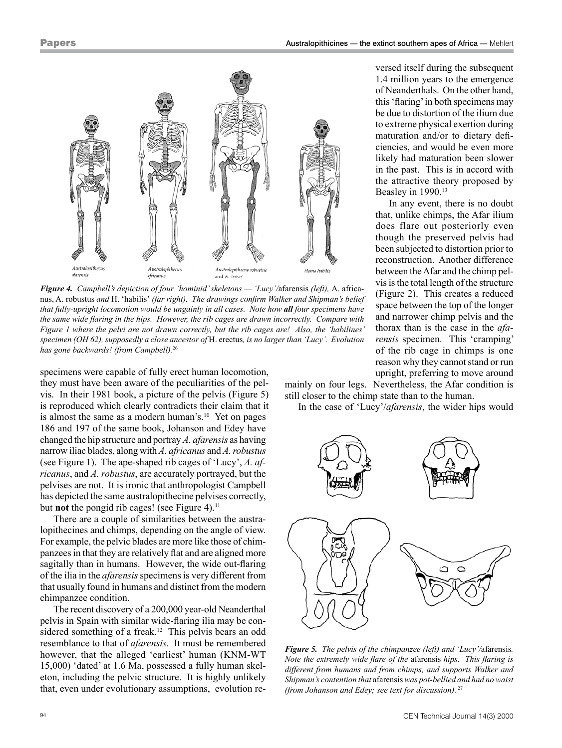

*Figure 4. Campbell's depiction of four 'hominid'skeletons — 'Lucy'/*afarensis *(left),* A. africanus, A. robustus *and* H. 'habilis' *(far right). The drawings confirm Walker and Shipman's belief that fully-upright locomotion would be ungainly in all cases. Note how all four specimens have the same wide flaring in the hips. However, the rib cages are drawn incorrectly. Compare with Figure 1 where the pelvi are not drawn correctly, but the rib cages are! Also, the 'habilines' specimen (OH 62), supposedly a close ancestor of* H. erectus*, is no larger than 'Lucy'. Evolution has gone backwards! (from Campbell).*<sup>26</sup>

specimens were capable of fully erect human locomotion, they must have been aware of the peculiarities of the pelvis. In their 1981 book, a picture of the pelvis (Figure 5) is reproduced which clearly contradicts their claim that it is almost the same as a modern human's.<sup>10</sup> Yet on pages 186 and 197 of the same book, Johanson and Edey have changed the hip structure and portray *A. afarensis* as having narrow iliac blades, along with *A. africanus* and *A.robustus* (see Figure 1). The ape-shaped rib cages of 'Lucy', *A. africanus*, and *A. robustus*, are accurately portrayed, but the pelvises are not. It is ironic that anthropologist Campbell has depicted the same australopithecine pelvises correctly, but **not** the pongid rib cages! (see Figure 4).<sup>11</sup>

There are a couple of similarities between the australopithecines and chimps, depending on the angle of view. For example, the pelvic blades are more like those of chimpanzees in that they are relatively flat and are aligned more sagitally than in humans. However, the wide out-flaring of the ilia in the *afarensis* specimens is very different from that usually found in humans and distinct from the modern chimpanzee condition.

The recent discovery of a 200,000 year-old Neanderthal pelvis in Spain with similar wide-flaring ilia may be considered something of a freak.<sup>12</sup> This pelvis bears an odd resemblance to that of *afarensis*. It must be remembered however, that the alleged 'earliest' human (KNM-WT 15,000) 'dated' at 1.6 Ma, possessed a fully human skeleton, including the pelvic structure. It is highly unlikely that, even under evolutionary assumptions, evolution re-

versed itself during the subsequent 1.4 million years to the emergence of Neanderthals. On the other hand, this 'flaring' in both specimens may be due to distortion of the ilium due to extreme physical exertion during maturation and/or to dietary deficiencies, and would be even more likely had maturation been slower in the past. This is in accord with the attractive theory proposed by Beasley in 1990.<sup>13</sup>

In any event, there is no doubt that, unlike chimps, the Afar ilium does flare out posteriorly even though the preserved pelvis had been subjected to distortion prior to reconstruction. Another difference between the Afar and the chimp pelvis is the total length of the structure (Figure 2). This creates a reduced space between the top of the longer and narrower chimp pelvis and the thorax than is the case in the *afarensis* specimen. This 'cramping' of the rib cage in chimps is one reason why they cannot stand or run upright, preferring to move around

mainly on four legs. Nevertheless, the Afar condition is still closer to the chimp state than to the human.

In the case of 'Lucy'/*afarensis*, the wider hips would



*Figure 5. The pelvis of the chimpanzee (left) and 'Lucy'/*afarensis*. Note the extremely wide flare of the* afarensis *hips. This flaring is different from humans and from chimps, and supports Walker and Shipman's contention that* afarensis *was pot-bellied and had no waist (from Johanson and Edey; see text for discussion).*<sup>27</sup>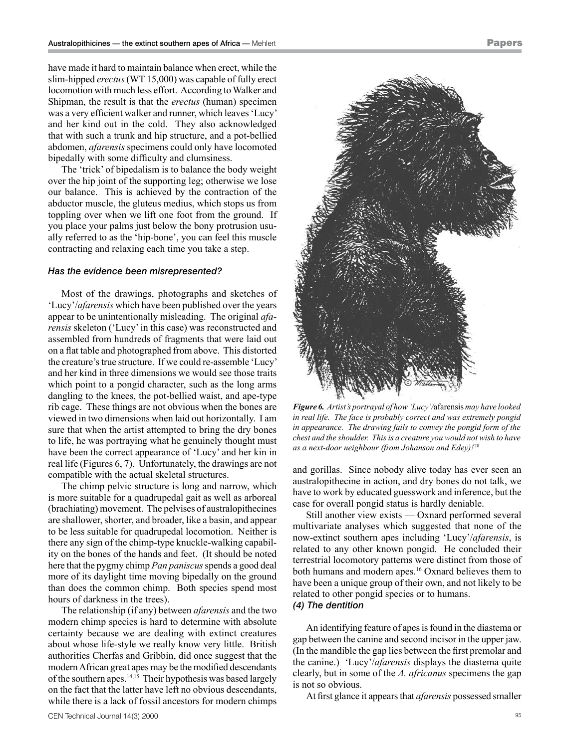have made it hard to maintain balance when erect, while the slim-hipped *erectus* (WT 15,000) was capable of fully erect locomotion with much less effort. According to Walker and Shipman, the result is that the *erectus* (human) specimen was a very efficient walker and runner, which leaves 'Lucy' and her kind out in the cold. They also acknowledged that with such a trunk and hip structure, and a pot-bellied abdomen, *afarensis* specimens could only have locomoted bipedally with some difficulty and clumsiness.

The 'trick' of bipedalism is to balance the body weight over the hip joint of the supporting leg; otherwise we lose our balance. This is achieved by the contraction of the abductor muscle, the gluteus medius, which stops us from toppling over when we lift one foot from the ground. If you place your palms just below the bony protrusion usually referred to as the 'hip-bone', you can feel this muscle contracting and relaxing each time you take a step.

#### *Has the evidence been misrepresented?*

Most of the drawings, photographs and sketches of 'Lucy'/*afarensis* which have been published over the years appear to be unintentionally misleading. The original *afarensis* skeleton ('Lucy' in this case) was reconstructed and assembled from hundreds of fragments that were laid out on a flat table and photographed from above. This distorted the creature's true structure. If we could re-assemble 'Lucy' and her kind in three dimensions we would see those traits which point to a pongid character, such as the long arms dangling to the knees, the pot-bellied waist, and ape-type rib cage. These things are not obvious when the bones are viewed in two dimensions when laid out horizontally. I am sure that when the artist attempted to bring the dry bones to life, he was portraying what he genuinely thought must have been the correct appearance of 'Lucy' and her kin in real life (Figures 6, 7). Unfortunately, the drawings are not compatible with the actual skeletal structures.

The chimp pelvic structure is long and narrow, which is more suitable for a quadrupedal gait as well as arboreal (brachiating) movement. The pelvises of australopithecines are shallower, shorter, and broader, like a basin, and appear to be less suitable for quadrupedal locomotion. Neither is there any sign of the chimp-type knuckle-walking capability on the bones of the hands and feet. (It should be noted here that the pygmy chimp *Pan paniscus* spends a good deal more of its daylight time moving bipedally on the ground than does the common chimp. Both species spend most hours of darkness in the trees).

The relationship (if any) between *afarensis* and the two modern chimp species is hard to determine with absolute certainty because we are dealing with extinct creatures about whose life-style we really know very little. British authorities Cherfas and Gribbin, did once suggest that the modern African great apes may be the modified descendants of the southern apes.14,15 Their hypothesis was based largely on the fact that the latter have left no obvious descendants, while there is a lack of fossil ancestors for modern chimps Papers

*Figure 6. Artist's portrayal of how'Lucy'/*afarensis *may have looked in real life. The face is probably correct and was extremely pongid in appearance. The drawing fails to convey the pongid form of the chest and the shoulder. Thisis a creature you would not wish to have as a next-door neighbour (from Johanson and Edey)!* <sup>28</sup>

and gorillas. Since nobody alive today has ever seen an australopithecine in action, and dry bones do not talk, we have to work by educated guesswork and inference, but the case for overall pongid status is hardly deniable.

Still another view exists — Oxnard performed several multivariate analyses which suggested that none of the now-extinct southern apes including 'Lucy'/*afarensis*, is related to any other known pongid. He concluded their terrestrial locomotory patterns were distinct from those of both humans and modern apes.<sup>16</sup> Oxnard believes them to have been a unique group of their own, and not likely to be related to other pongid species or to humans. *(4) The dentition*

An identifying feature of apes is found in the diastema or gap between the canine and second incisor in the upper jaw. (In the mandible the gap lies between the first premolar and the canine.) 'Lucy'/*afarensis* displays the diastema quite clearly, but in some of the *A. africanus* specimens the gap is not so obvious.

At first glance it appears that *afarensis* possessed smaller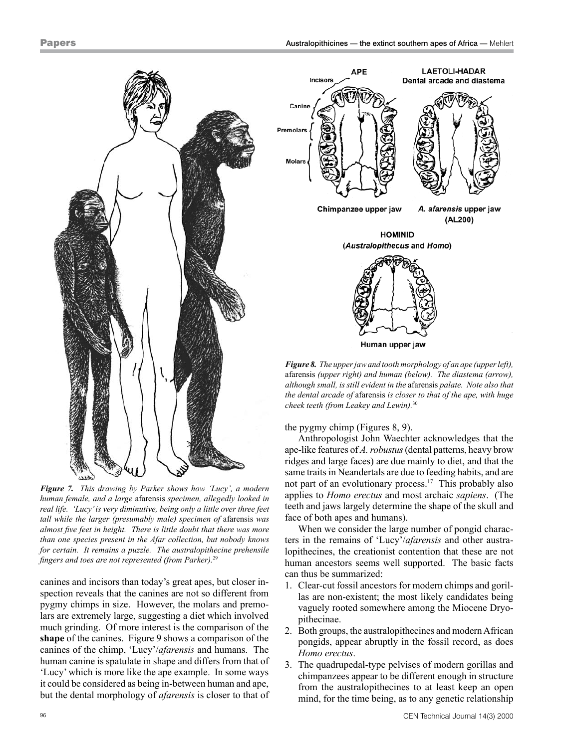

*Figure 7. This drawing by Parker shows how 'Lucy', a modern human female, and a large* afarensis *specimen, allegedly looked in real life. 'Lucy'is very diminutive, being only a little over three feet tall while the larger (presumably male) specimen of* afarensis *was almost five feet in height. There is little doubt that there was more than one species present in the Afar collection, but nobody knows for certain. It remains a puzzle. The australopithecine prehensile fingers and toes are not represented (from Parker).*29

canines and incisors than today's great apes, but closer inspection reveals that the canines are not so different from pygmy chimps in size. However, the molars and premolars are extremely large, suggesting a diet which involved much grinding. Of more interest is the comparison of the **shape** of the canines. Figure 9 shows a comparison of the canines of the chimp, 'Lucy'/*afarensis* and humans. The human canine is spatulate in shape and differs from that of 'Lucy' which is more like the ape example. In some ways it could be considered as being in-between human and ape, but the dental morphology of *afarensis* is closer to that of



*Figure 8. The upperjawand tooth morphology of an ape (upperleft),* afarensis *(upper right) and human (below). The diastema (arrow), although small, is still evident in the* afarensis *palate. Note also that the dental arcade of* afarensis *is closer to that of the ape, with huge cheek teeth (from Leakey and Lewin).*<sup>30</sup>

the pygmy chimp (Figures 8, 9).

Anthropologist John Waechter acknowledges that the ape-like features of *A.robustus* (dental patterns, heavy brow ridges and large faces) are due mainly to diet, and that the same traits in Neandertals are due to feeding habits, and are not part of an evolutionary process.17 This probably also applies to *Homo erectus* and most archaic *sapiens*. (The teeth and jaws largely determine the shape of the skull and face of both apes and humans).

When we consider the large number of pongid characters in the remains of 'Lucy'/*afarensis* and other australopithecines, the creationist contention that these are not human ancestors seems well supported. The basic facts can thus be summarized:

- 1. Clear-cut fossil ancestors for modern chimps and gorillas are non-existent; the most likely candidates being vaguely rooted somewhere among the Miocene Dryopithecinae.
- 2. Both groups, the australopithecines and modern African pongids, appear abruptly in the fossil record, as does *Homo erectus*.
- 3. The quadrupedal-type pelvises of modern gorillas and chimpanzees appear to be different enough in structure from the australopithecines to at least keep an open mind, for the time being, as to any genetic relationship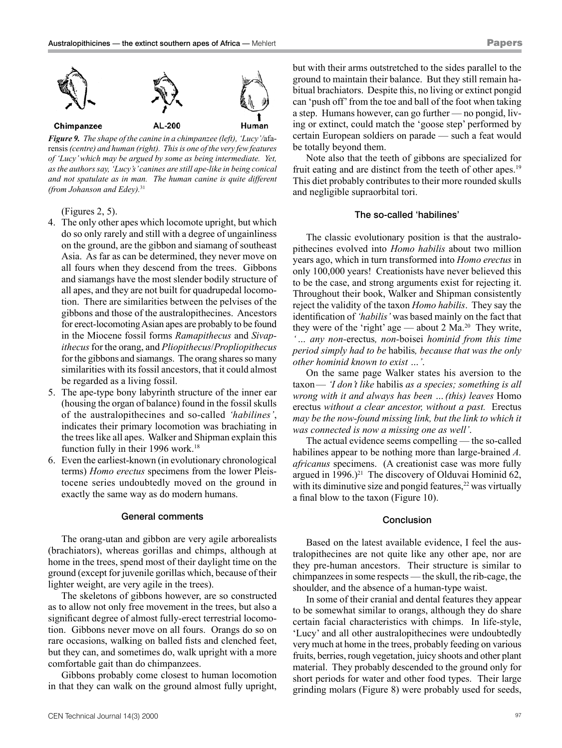

*Figure 9. The shape of the canine in a chimpanzee (left), 'Lucy'/*afarensis*(centre) and human (right). Thisis one of the very few features of 'Lucy'which may be argued by some as being intermediate. Yet, asthe authorssay, 'Lucy's'canines are still ape-like in being conical and not spatulate as in man. The human canine is quite different (from Johanson and Edey).*<sup>31</sup>

(Figures 2, 5).

- 4. The only other apes which locomote upright, but which do so only rarely and still with a degree of ungainliness on the ground, are the gibbon and siamang of southeast Asia. As far as can be determined, they never move on all fours when they descend from the trees. Gibbons and siamangs have the most slender bodily structure of all apes, and they are not built for quadrupedal locomotion. There are similarities between the pelvises of the gibbons and those of the australopithecines. Ancestors for erect-locomoting Asian apes are probably to be found in the Miocene fossil forms *Ramapithecus* and *Sivapithecus* for the orang, and *Pliopithecus*/*Propliopithecus* for the gibbons and siamangs. The orang shares so many similarities with its fossil ancestors, that it could almost be regarded as a living fossil.
- 5. The ape-type bony labyrinth structure of the inner ear (housing the organ of balance) found in the fossil skulls of the australopithecines and so-called *'habilines'*, indicates their primary locomotion was brachiating in the trees like all apes. Walker and Shipman explain this function fully in their 1996 work.<sup>18</sup>
- 6. Even the earliest-known (in evolutionary chronological terms) *Homo erectus* specimens from the lower Pleistocene series undoubtedly moved on the ground in exactly the same way as do modern humans.

#### General comments

The orang-utan and gibbon are very agile arborealists (brachiators), whereas gorillas and chimps, although at home in the trees, spend most of their daylight time on the ground (except for juvenile gorillas which, because of their lighter weight, are very agile in the trees).

The skeletons of gibbons however, are so constructed as to allow not only free movement in the trees, but also a significant degree of almost fully-erect terrestrial locomotion. Gibbons never move on all fours. Orangs do so on rare occasions, walking on balled fists and clenched feet, but they can, and sometimes do, walk upright with a more comfortable gait than do chimpanzees.

Gibbons probably come closest to human locomotion in that they can walk on the ground almost fully upright, but with their arms outstretched to the sides parallel to the ground to maintain their balance. But they still remain habitual brachiators. Despite this, no living or extinct pongid can 'push off' from the toe and ball of the foot when taking a step. Humans however, can go further — no pongid, living or extinct, could match the 'goose step' performed by certain European soldiers on parade — such a feat would be totally beyond them.

Note also that the teeth of gibbons are specialized for fruit eating and are distinct from the teeth of other apes.<sup>19</sup> This diet probably contributes to their more rounded skulls and negligible supraorbital tori.

#### The so-called 'habilines'

The classic evolutionary position is that the australopithecines evolved into *Homo habilis* about two million years ago, which in turn transformed into *Homo erectus* in only 100,000 years! Creationists have never believed this to be the case, and strong arguments exist for rejecting it. Throughout their book, Walker and Shipman consistently reject the validity of the taxon *Homo habilis*. They say the identification of *'habilis'* was based mainly on the fact that they were of the 'right' age — about 2 Ma.20 They write, *'… any non-*erectus*, non-*boisei *hominid from this time period simply had to be* habilis*, because that was the only other hominid known to exist …'*.

On the same page Walker states his aversion to the taxon— *'I don't like* habilis *as a species; something is all wrong with it and always has been …(this) leaves* Homo erectus *without a clear ancestor, without a past.* Erectus *may be the now-found missing link, but the link to which it was connected is now a missing one as well'*.

The actual evidence seems compelling — the so-called habilines appear to be nothing more than large-brained *A. africanus* specimens. (A creationist case was more fully argued in 1996.)<sup>21</sup> The discovery of Olduvai Hominid 62, with its diminutive size and pongid features, $22$  was virtually a final blow to the taxon (Figure 10).

#### **Conclusion**

Based on the latest available evidence, I feel the australopithecines are not quite like any other ape, nor are they pre-human ancestors. Their structure is similar to chimpanzees in some respects — the skull, the rib-cage, the shoulder, and the absence of a human-type waist.

In some of their cranial and dental features they appear to be somewhat similar to orangs, although they do share certain facial characteristics with chimps. In life-style, 'Lucy' and all other australopithecines were undoubtedly very much at home in the trees, probably feeding on various fruits, berries, rough vegetation, juicy shoots and other plant material. They probably descended to the ground only for short periods for water and other food types. Their large grinding molars (Figure 8) were probably used for seeds,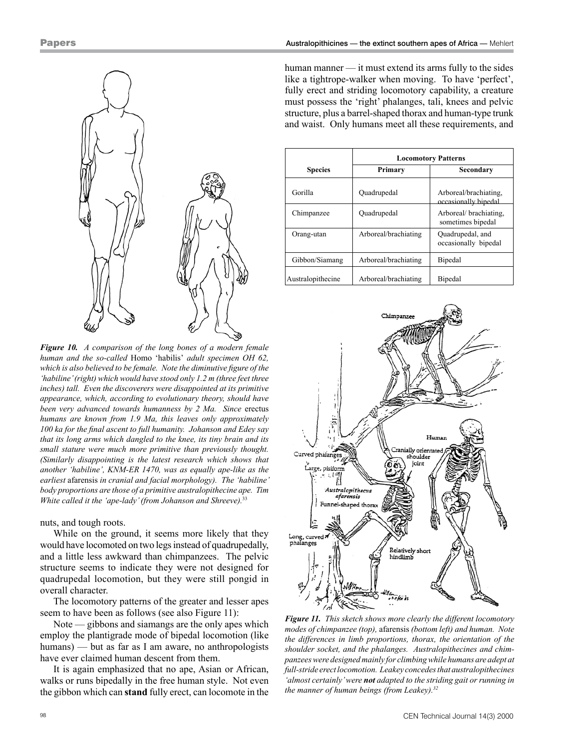

*Figure 10. A comparison of the long bones of a modern female human and the so-called* Homo 'habilis' *adult specimen OH 62, which is also believed to be female. Note the diminutive figure of the 'habiline'(right) which would have stood only 1.2 m (three feet three inches) tall. Even the discoverers were disappointed at its primitive appearance, which, according to evolutionary theory, should have been very advanced towards humanness by 2 Ma. Since* erectus *humans are known from 1.9 Ma, this leaves only approximately 100 ka for the final ascent to full humanity. Johanson and Edey say that its long arms which dangled to the knee, its tiny brain and its small stature were much more primitive than previously thought. (Similarly disappointing is the latest research which shows that another 'habiline', KNM-ER 1470, was as equally ape-like as the earliest* afarensis *in cranial and facial morphology). The 'habiline' body proportions are those of a primitive australopithecine ape. Tim White called it the 'ape-lady'(from Johanson and Shreeve).*<sup>33</sup>

nuts, and tough roots.

While on the ground, it seems more likely that they would have locomoted on two legs instead of quadrupedally, and a little less awkward than chimpanzees. The pelvic structure seems to indicate they were not designed for quadrupedal locomotion, but they were still pongid in overall character.

The locomotory patterns of the greater and lesser apes seem to have been as follows (see also Figure 11):

Note — gibbons and siamangs are the only apes which employ the plantigrade mode of bipedal locomotion (like humans) — but as far as I am aware, no anthropologists have ever claimed human descent from them.

It is again emphasized that no ape, Asian or African, walks or runs bipedally in the free human style. Not even the gibbon which can **stand** fully erect, can locomote in the human manner — it must extend its arms fully to the sides like a tightrope-walker when moving. To have 'perfect', fully erect and striding locomotory capability, a creature must possess the 'right' phalanges, tali, knees and pelvic structure, plus a barrel-shaped thorax and human-type trunk and waist. Only humans meet all these requirements, and

|                   | <b>Locomotory Patterns</b> |                                               |
|-------------------|----------------------------|-----------------------------------------------|
| <b>Species</b>    | Primary                    | Secondary                                     |
| Gorilla           | Ouadrupedal                | Arboreal/brachiating.<br>occasionally bipedal |
| Chimpanzee        | Ouadrupedal                | Arboreal/brachiating.<br>sometimes bipedal    |
| Orang-utan        | Arboreal/brachiating       | Quadrupedal, and<br>occasionally bipedal      |
| Gibbon/Siamang    | Arboreal/brachiating       | Bipedal                                       |
| Australopithecine | Arboreal/brachiating       | Bipedal                                       |



*Figure 11. This sketch shows more clearly the different locomotory modes of chimpanzee (top),* afarensis *(bottom left) and human. Note the differences in limb proportions, thorax, the orientation of the shoulder socket, and the phalanges. Australopithecines and chimpanzeeswere designed mainly for climbingwhile humans are adept at full-stride erectlocomotion. Leakey concedesthat australopithecines 'almost certainly'were not adapted to the striding gait or running in the manner of human beings (from Leakey).32*